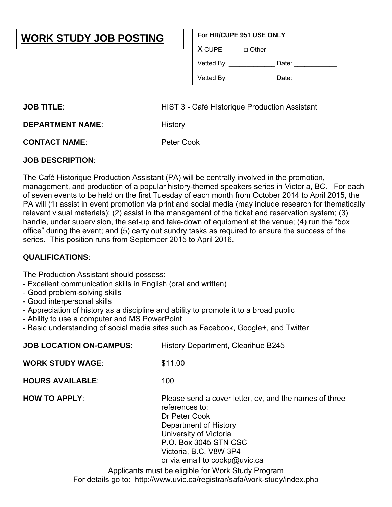## **WORK STUDY JOB POSTING**

## **For HR/CUPE 951 USE ONLY**

 $X$  CUPE  $\Box$  Other

| Vetted By: | Date: |  |
|------------|-------|--|
|            |       |  |

| Vetted By: | Date: |  |
|------------|-------|--|
|            |       |  |

**JOB TITLE:** HIST 3 - Café Historique Production Assistant

**DEPARTMENT NAME:** History

**CONTACT NAME**: Peter Cook

## **JOB DESCRIPTION**:

The Café Historique Production Assistant (PA) will be centrally involved in the promotion, management, and production of a popular history-themed speakers series in Victoria, BC. For each of seven events to be held on the first Tuesday of each month from October 2014 to April 2015, the PA will (1) assist in event promotion via print and social media (may include research for thematically relevant visual materials); (2) assist in the management of the ticket and reservation system; (3) handle, under supervision, the set-up and take-down of equipment at the venue; (4) run the "box office" during the event; and (5) carry out sundry tasks as required to ensure the success of the series. This position runs from September 2015 to April 2016.

## **QUALIFICATIONS**:

The Production Assistant should possess:

- Excellent communication skills in English (oral and written)

- Good problem-solving skills
- Good interpersonal skills
- Appreciation of history as a discipline and ability to promote it to a broad public
- Ability to use a computer and MS PowerPoint
- Basic understanding of social media sites such as Facebook, Google+, and Twitter

| <b>JOB LOCATION ON-CAMPUS:</b> | History Department, Clearihue B245                                                                                                                                                                                                                                                     |
|--------------------------------|----------------------------------------------------------------------------------------------------------------------------------------------------------------------------------------------------------------------------------------------------------------------------------------|
| <b>WORK STUDY WAGE:</b>        | \$11.00                                                                                                                                                                                                                                                                                |
| <b>HOURS AVAILABLE:</b>        | 100                                                                                                                                                                                                                                                                                    |
| <b>HOW TO APPLY:</b>           | Please send a cover letter, cv, and the names of three<br>references to:<br>Dr Peter Cook<br>Department of History<br>University of Victoria<br>P.O. Box 3045 STN CSC<br>Victoria, B.C. V8W 3P4<br>or via email to cookp@uvic.ca<br>Applicants must be eligible for Work Study Program |
|                                | For details go to: http://www.uvic.ca/registrar/safa/work-study/index.php                                                                                                                                                                                                              |